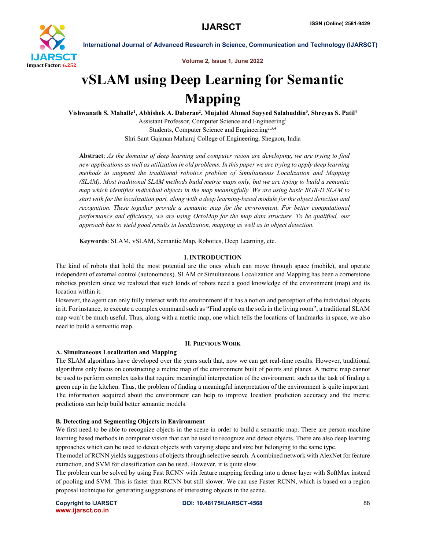

Volume 2, Issue 1, June 2022

# vSLAM using Deep Learning for Semantic Mapping

Vishwanath S. Mahalle<sup>1</sup>, Abhishek A. Daberao<sup>2</sup>, Mujahid Ahmed Sayyed Salahuddin<sup>3</sup>, Shreyas S. Patil<sup>4</sup>

Assistant Professor, Computer Science and Engineering1 Students, Computer Science and Engineering<sup>2,3,4</sup> Shri Sant Gajanan Maharaj College of Engineering, Shegaon, India

Abstract: *As the domains of deep learning and computer vision are developing, we are trying to find new applications as well as utilization in old problems. In this paper we are trying to apply deep learning methods to augment the traditional robotics problem of Simultaneous Localization and Mapping (SLAM). Most traditional SLAM methods build metric maps only, but we are trying to build a semantic map which identifies individual objects in the map meaningfully. We are using basic RGB-D SLAM to start with for the localization part, along with a deep learning-based module for the object detection and recognition. These together provide a semantic map for the environment. For better computational performance and efficiency, we are using OctoMap for the map data structure. To be qualified, our approach has to yield good results in localization, mapping as well as in object detection.*

Keywords: SLAM, vSLAM, Semantic Map, Robotics, Deep Learning, etc.

# I. INTRODUCTION

The kind of robots that hold the most potential are the ones which can move through space (mobile), and operate independent of external control (autonomous). SLAM or Simultaneous Localization and Mapping has been a cornerstone robotics problem since we realized that such kinds of robots need a good knowledge of the environment (map) and its location within it.

However, the agent can only fully interact with the environment if it has a notion and perception of the individual objects in it. For instance, to execute a complex command such as "Find apple on the sofa in the living room", a traditional SLAM map won't be much useful. Thus, along with a metric map, one which tells the locations of landmarks in space, we also need to build a semantic map.

# II. PREVIOUS WORK

### A. Simultaneous Localization and Mapping

The SLAM algorithms have developed over the years such that, now we can get real-time results. However, traditional algorithms only focus on constructing a metric map of the environment built of points and planes. A metric map cannot be used to perform complex tasks that require meaningful interpretation of the environment, such as the task of finding a green cup in the kitchen. Thus, the problem of finding a meaningful interpretation of the environment is quite important. The information acquired about the environment can help to improve location prediction accuracy and the metric predictions can help build better semantic models.

# B. Detecting and Segmenting Objects in Environment

We first need to be able to recognize objects in the scene in order to build a semantic map. There are person machine learning based methods in computer vision that can be used to recognize and detect objects. There are also deep learning approaches which can be used to detect objects with varying shape and size but belonging to the same type.

The model of RCNN yields suggestions of objects through selective search. A combined network with AlexNet for feature extraction, and SVM for classification can be used. However, it is quite slow.

The problem can be solved by using Fast RCNN with feature mapping feeding into a dense layer with SoftMax instead of pooling and SVM. This is faster than RCNN but still slower. We can use Faster RCNN, which is based on a region proposal technique for generating suggestions of interesting objects in the scene.

www.ijarsct.co.in

Copyright to IJARSCT **DOI: 10.48175/IJARSCT-4568** 88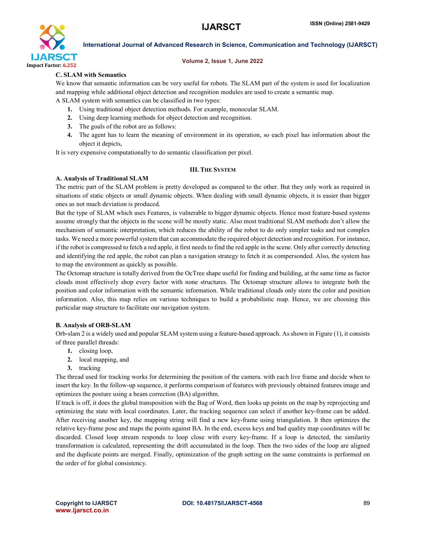

#### Volume 2, Issue 1, June 2022

# C. SLAM with Semantics

We know that semantic information can be very useful for robots. The SLAM part of the system is used for localization and mapping while additional object detection and recognition modules are used to create a semantic map.

A SLAM system with semantics can be classified in two types:

- 1. Using traditional object detection methods. For example, monocular SLAM.
- 2. Using deep learning methods for object detection and recognition.
- 3. The goals of the robot are as follows:
- 4. The agent has to learn the meaning of environment in its operation, so each pixel has information about the object it depicts,

It is very expensive computationally to do semantic classification per pixel.

# III. THE SYSTEM

### A. Analysis of Traditional SLAM

The metric part of the SLAM problem is pretty developed as compared to the other. But they only work as required in situations of static objects or small dynamic objects. When dealing with small dynamic objects, it is easier than bigger ones as not much deviation is produced.

But the type of SLAM which uses Features, is vulnerable to bigger dynamic objects. Hence most feature-based systems assume strongly that the objects in the scene will be mostly static. Also most traditional SLAM methods don't allow the mechanism of semantic interpretation, which reduces the ability of the robot to do only simpler tasks and not complex tasks. We need a more powerful system that can accommodate the required object detection and recognition. For instance, if the robot is compressed to fetch a red apple, it first needs to find the red apple in the scene. Only after correctly detecting and identifying the red apple, the robot can plan a navigation strategy to fetch it as compersonded. Also, the system has to map the environment as quickly as possible.

The Octomap structure is totally derived from the OcTree shape useful for finding and building, at the same time as factor clouds most effectively shop every factor with none structures. The Octomap structure allows to integrate both the position and color information with the semantic information. While traditional clouds only store the color and position information. Also, this map relies on various techniques to build a probabilistic map. Hence, we are choosing this particular map structure to facilitate our navigation system.

### B. Analysis of ORB-SLAM

Orb-slam 2 is a widely used and popular SLAM system using a feature-based approach. As shown in Figure (1), it consists of three parallel threads:

- 1. closing loop,
- 2. local mapping, and
- 3. tracking

The thread used for tracking works for determining the position of the camera. with each live frame and decide when to insert the key. In the follow-up sequence, it performs comparison of features with previously obtained features image and optimizes the posture using a beam correction (BA) algorithm.

If track is off, it does the global transposition with the Bag of Word, then looks up points on the map by reprojecting and optimizing the state with local coordinates. Later, the tracking sequence can select if another key-frame can be added. After receiving another key, the mapping string will find a new key-frame using triangulation. It then optimizes the relative key-frame pose and maps the points against BA. In the end, excess keys and bad quality map coordinates will be discarded. Closed loop stream responds to loop close with every key-frame. If a loop is detected, the similarity transformation is calculated, representing the drift accumulated in the loop. Then the two sides of the loop are aligned and the duplicate points are merged. Finally, optimization of the graph setting on the same constraints is performed on the order of for global consistency.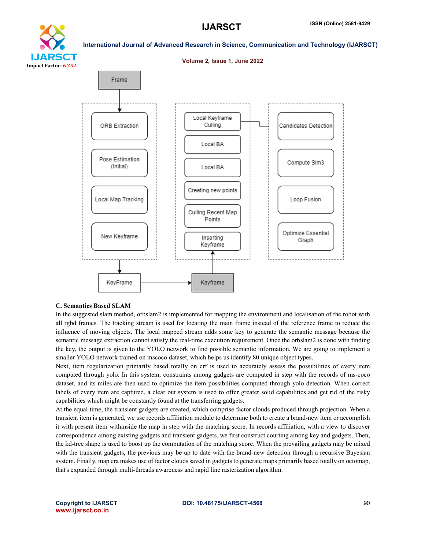Optimize Essential

Graph



# International Journal of Advanced Research in Science, Communication and Technology (IJARSCT)



Points

Inserting

Keyframe

Keyframe

### C. Semantics Based SLAM

New Keyframe

KeyFrame

In the suggested slam method, orbslam2 is implemented for mapping the environment and localisation of the robot with all rgbd frames. The tracking stream is used for locating the main frame instead of the reference frame to reduce the influence of moving objects. The local mapped stream adds some key to generate the semantic message because the semantic message extraction cannot satisfy the real-time execution requirement. Once the orbslam2 is done with finding the key, the output is given to the YOLO network to find possible semantic information. We are going to implement a smaller YOLO network trained on mscoco dataset, which helps us identify 80 unique object types.

Next, item regularization primarily based totally on crf is used to accurately assess the possibilities of every item computed through yolo. In this system, constraints among gadgets are computed in step with the records of ms-coco dataset, and its miles are then used to optimize the item possibilities computed through yolo detection. When correct labels of every item are captured, a clear out system is used to offer greater solid capabilities and get rid of the risky capabilities which might be constantly found at the transferring gadgets.

At the equal time, the transient gadgets are created, which comprise factor clouds produced through projection. When a transient item is generated, we use records affiliation module to determine both to create a brand-new item or accomplish it with present item withinside the map in step with the matching score. In records affiliation, with a view to discover correspondence among existing gadgets and transient gadgets, we first construct courting among key and gadgets. Then, the kd-tree shape is used to boost up the computation of the matching score. When the prevailing gadgets may be mixed with the transient gadgets, the previous may be up to date with the brand-new detection through a recursive Bayesian system. Finally, map era makes use of factor clouds saved in gadgets to generate maps primarily based totally on octomap, that's expanded through multi-threads awareness and rapid line rasterization algorithm.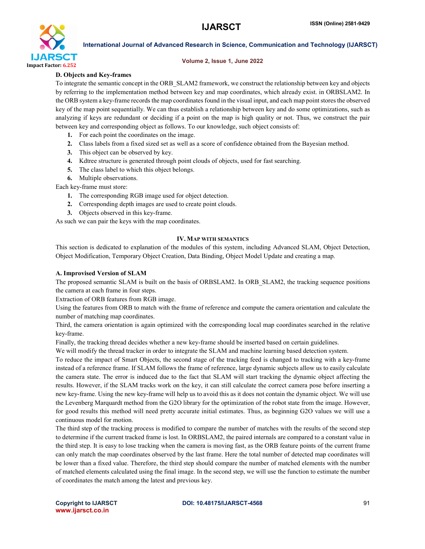

### Volume 2, Issue 1, June 2022

# D. Objects and Key-frames

To integrate the semantic concept in the ORB\_SLAM2 framework, we construct the relationship between key and objects by referring to the implementation method between key and map coordinates, which already exist. in ORBSLAM2. In the ORB system a key-frame records the map coordinates found in the visual input, and each map point stores the observed key of the map point sequentially. We can thus establish a relationship between key and do some optimizations, such as analyzing if keys are redundant or deciding if a point on the map is high quality or not. Thus, we construct the pair between key and corresponding object as follows. To our knowledge, such object consists of:

- 1. For each point the coordinates on the image.
- 2. Class labels from a fixed sized set as well as a score of confidence obtained from the Bayesian method.
- 3. This object can be observed by key.
- 4. Kdtree structure is generated through point clouds of objects, used for fast searching.
- 5. The class label to which this object belongs.
- 6. Multiple observations.

Each key-frame must store:

- 1. The corresponding RGB image used for object detection.
- 2. Corresponding depth images are used to create point clouds.
- 3. Objects observed in this key-frame.

As such we can pair the keys with the map coordinates.

### IV. MAP WITH SEMANTICS

This section is dedicated to explanation of the modules of this system, including Advanced SLAM, Object Detection, Object Modification, Temporary Object Creation, Data Binding, Object Model Update and creating a map.

### A. Improvised Version of SLAM

The proposed semantic SLAM is built on the basis of ORBSLAM2. In ORB\_SLAM2, the tracking sequence positions the camera at each frame in four steps.

Extraction of ORB features from RGB image.

Using the features from ORB to match with the frame of reference and compute the camera orientation and calculate the number of matching map coordinates.

Third, the camera orientation is again optimized with the corresponding local map coordinates searched in the relative key-frame.

Finally, the tracking thread decides whether a new key-frame should be inserted based on certain guidelines.

We will modify the thread tracker in order to integrate the SLAM and machine learning based detection system.

To reduce the impact of Smart Objects, the second stage of the tracking feed is changed to tracking with a key-frame instead of a reference frame. If SLAM follows the frame of reference, large dynamic subjects allow us to easily calculate the camera state. The error is induced due to the fact that SLAM will start tracking the dynamic object affecting the results. However, if the SLAM tracks work on the key, it can still calculate the correct camera pose before inserting a new key-frame. Using the new key-frame will help us to avoid this as it does not contain the dynamic object. We will use the Levenberg Marquardt method from the G2O library for the optimization of the robot state from the image. However, for good results this method will need pretty accurate initial estimates. Thus, as beginning G2O values we will use a continuous model for motion.

The third step of the tracking process is modified to compare the number of matches with the results of the second step to determine if the current tracked frame is lost. In ORBSLAM2, the paired internals are compared to a constant value in the third step. It is easy to lose tracking when the camera is moving fast, as the ORB feature points of the current frame can only match the map coordinates observed by the last frame. Here the total number of detected map coordinates will be lower than a fixed value. Therefore, the third step should compare the number of matched elements with the number of matched elements calculated using the final image. In the second step, we will use the function to estimate the number of coordinates the match among the latest and previous key.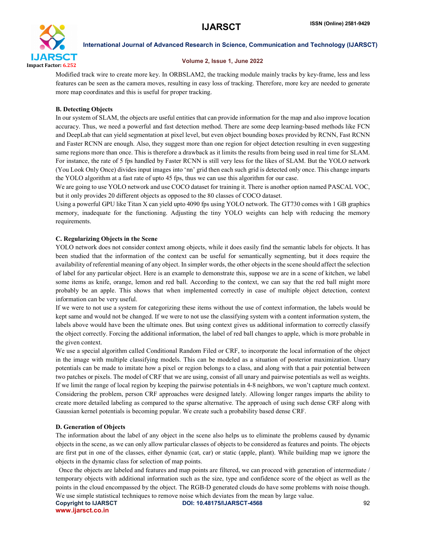

#### Volume 2, Issue 1, June 2022

Modified track wire to create more key. In ORBSLAM2, the tracking module mainly tracks by key-frame, less and less features can be seen as the camera moves, resulting in easy loss of tracking. Therefore, more key are needed to generate more map coordinates and this is useful for proper tracking.

# B. Detecting Objects

In our system of SLAM, the objects are useful entities that can provide information for the map and also improve location accuracy. Thus, we need a powerful and fast detection method. There are some deep learning-based methods like FCN and DeepLab that can yield segmentation at pixel level, but even object bounding boxes provided by RCNN, Fast RCNN and Faster RCNN are enough. Also, they suggest more than one region for object detection resulting in even suggesting same regions more than once. This is therefore a drawback as it limits the results from being used in real time for SLAM. For instance, the rate of 5 fps handled by Faster RCNN is still very less for the likes of SLAM. But the YOLO network (You Look Only Once) divides input images into 'nn' grid then each such grid is detected only once. This change imparts the YOLO algorithm at a fast rate of upto 45 fps, thus we can use this algorithm for our case.

We are going to use YOLO network and use COCO dataset for training it. There is another option named PASCAL VOC, but it only provides 20 different objects as opposed to the 80 classes of COCO dataset.

Using a powerful GPU like Titan X can yield upto 4090 fps using YOLO network. The GT730 comes with 1 GB graphics memory, inadequate for the functioning. Adjusting the tiny YOLO weights can help with reducing the memory requirements.

# C. Regularizing Objects in the Scene

YOLO network does not consider context among objects, while it does easily find the semantic labels for objects. It has been studied that the information of the context can be useful for semantically segmenting, but it does require the availability of referential meaning of any object. In simpler words, the other objects in the scene should affect the selection of label for any particular object. Here is an example to demonstrate this, suppose we are in a scene of kitchen, we label some items as knife, orange, lemon and red ball. According to the context, we can say that the red ball might more probably be an apple. This shows that when implemented correctly in case of multiple object detection, context information can be very useful.

If we were to not use a system for categorizing these items without the use of context information, the labels would be kept same and would not be changed. If we were to not use the classifying system with a content information system, the labels above would have been the ultimate ones. But using context gives us additional information to correctly classify the object correctly. Forcing the additional information, the label of red ball changes to apple, which is more probable in the given context.

We use a special algorithm called Conditional Random Filed or CRF, to incorporate the local information of the object in the image with multiple classifying models. This can be modeled as a situation of posterior maximization. Unary potentials can be made to imitate how a pixel or region belongs to a class, and along with that a pair potential between two patches or pixels. The model of CRF that we are using, consist of all unary and pairwise potentials as well as weights. If we limit the range of local region by keeping the pairwise potentials in 4-8 neighbors, we won't capture much context. Considering the problem, person CRF approaches were designed lately. Allowing longer ranges imparts the ability to create more detailed labeling as compared to the sparse alternative. The approach of using such dense CRF along with Gaussian kernel potentials is becoming popular. We create such a probability based dense CRF.

# D. Generation of Objects

The information about the label of any object in the scene also helps us to eliminate the problems caused by dynamic objects in the scene, as we can only allow particular classes of objects to be considered as features and points. The objects are first put in one of the classes, either dynamic (cat, car) or static (apple, plant). While building map we ignore the objects in the dynamic class for selection of map points.

 Once the objects are labeled and features and map points are filtered, we can proceed with generation of intermediate / temporary objects with additional information such as the size, type and confidence score of the object as well as the points in the cloud encompassed by the object. The RGB-D generated clouds do have some problems with noise though. We use simple statistical techniques to remove noise which deviates from the mean by large value.

www.ijarsct.co.in

Copyright to IJARSCT **DOI: 10.48175/IJARSCT-4568** 92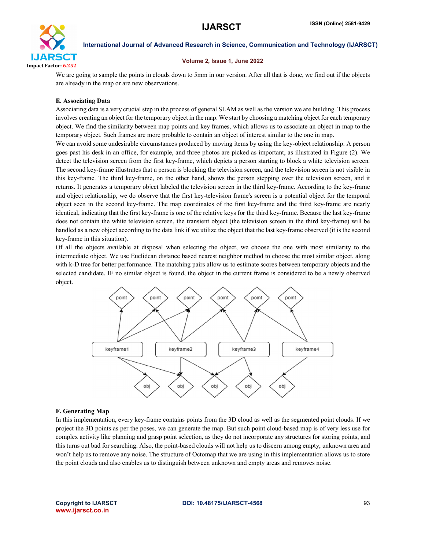

# Volume 2, Issue 1, June 2022

We are going to sample the points in clouds down to 5mm in our version. After all that is done, we find out if the objects are already in the map or are new observations.

# E. Associating Data

Associating data is a very crucial step in the process of general SLAM as well as the version we are building. This process involves creating an object for the temporary object in the map. We start by choosing a matching object for each temporary object. We find the similarity between map points and key frames, which allows us to associate an object in map to the temporary object. Such frames are more probable to contain an object of interest similar to the one in map.

We can avoid some undesirable circumstances produced by moving items by using the key-object relationship. A person goes past his desk in an office, for example, and three photos are picked as important, as illustrated in Figure (2). We detect the television screen from the first key-frame, which depicts a person starting to block a white television screen. The second key-frame illustrates that a person is blocking the television screen, and the television screen is not visible in this key-frame. The third key-frame, on the other hand, shows the person stepping over the television screen, and it returns. It generates a temporary object labeled the television screen in the third key-frame. According to the key-frame and object relationship, we do observe that the first key-television frame's screen is a potential object for the temporal object seen in the second key-frame. The map coordinates of the first key-frame and the third key-frame are nearly identical, indicating that the first key-frame is one of the relative keys for the third key-frame. Because the last key-frame does not contain the white television screen, the transient object (the television screen in the third key-frame) will be handled as a new object according to the data link if we utilize the object that the last key-frame observed (it is the second key-frame in this situation).

Of all the objects available at disposal when selecting the object, we choose the one with most similarity to the intermediate object. We use Euclidean distance based nearest neighbor method to choose the most similar object, along with k-D tree for better performance. The matching pairs allow us to estimate scores between temporary objects and the selected candidate. IF no similar object is found, the object in the current frame is considered to be a newly observed object.



### F. Generating Map

In this implementation, every key-frame contains points from the 3D cloud as well as the segmented point clouds. If we project the 3D points as per the poses, we can generate the map. But such point cloud-based map is of very less use for complex activity like planning and grasp point selection, as they do not incorporate any structures for storing points, and this turns out bad for searching. Also, the point-based clouds will not help us to discern among empty, unknown area and won't help us to remove any noise. The structure of Octomap that we are using in this implementation allows us to store the point clouds and also enables us to distinguish between unknown and empty areas and removes noise.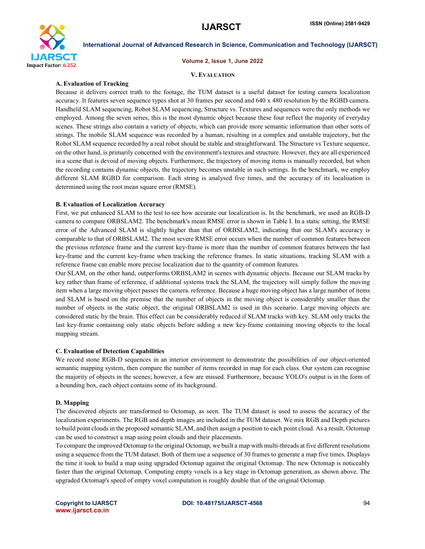

#### Volume 2, Issue 1, June 2022

#### V. EVALUATION

### A. Evaluation of Tracking

Because it delivers correct truth to the footage, the TUM dataset is a useful dataset for testing camera localization accuracy. It features seven sequence types shot at 30 frames per second and 640 x 480 resolution by the RGBD camera. Handheld SLAM sequencing, Robot SLAM sequencing, Structure vs. Textures and sequences were the only methods we employed. Among the seven series, this is the most dynamic object because these four reflect the majority of everyday scenes. These strings also contain a variety of objects, which can provide more semantic information than other sorts of strings. The mobile SLAM sequence was recorded by a human, resulting in a complex and unstable trajectory, but the Robot SLAM sequence recorded by a real robot should be stable and straightforward. The Structure vs Texture sequence, on the other hand, is primarily concerned with the environment's textures and structure. However, they are all experienced in a scene that is devoid of moving objects. Furthermore, the trajectory of moving items is manually recorded, but when the recording contains dynamic objects, the trajectory becomes unstable in such settings. In the benchmark, we employ different SLAM RGBD for comparison. Each string is analysed five times, and the accuracy of its localisation is determined using the root mean square error (RMSE).

### B. Evaluation of Localization Accuracy

First, we put enhanced SLAM to the test to see how accurate our localization is. In the benchmark, we used an RGB-D camera to compare ORBSLAM2. The benchmark's mean RMSE error is shown in Table I. In a static setting, the RMSE error of the Advanced SLAM is slightly higher than that of ORBSLAM2, indicating that our SLAM's accuracy is comparable to that of ORBSLAM2. The most severe RMSE error occurs when the number of common features between the previous reference frame and the current key-frame is more than the number of common features between the last key-frame and the current key-frame when tracking the reference frames. In static situations, tracking SLAM with a reference frame can enable more precise localization due to the quantity of common features.

Our SLAM, on the other hand, outperforms ORBSLAM2 in scenes with dynamic objects. Because our SLAM tracks by key rather than frame of reference, if additional systems track the SLAM, the trajectory will simply follow the moving item when a large moving object passes the camera. reference. Because a huge moving object has a large number of items and SLAM is based on the premise that the number of objects in the moving object is considerably smaller than the number of objects in the static object, the original ORBSLAM2 is used in this scenario. Large moving objects are considered static by the brain. This effect can be considerably reduced if SLAM tracks with key. SLAM only tracks the last key-frame containing only static objects before adding a new key-frame containing moving objects to the local mapping stream.

### C. Evaluation of Detection Capabilities

We record stone RGB-D sequences in an interior environment to demonstrate the possibilities of our object-oriented semantic mapping system, then compare the number of items recorded in map for each class. Our system can recognise the majority of objects in the scenes; however, a few are missed. Furthermore, because YOLO's output is in the form of a bounding box, each object contains some of its background.

### D. Mapping

The discovered objects are transformed to Octomap, as seen. The TUM dataset is used to assess the accuracy of the localization experiments. The RGB and depth images are included in the TUM dataset. We mix RGB and Depth pictures to build point clouds in the proposed semantic SLAM, and then assign a position to each point cloud. As a result, Octomap can be used to construct a map using point clouds and their placements.

To compare the improved Octomap to the original Octomap, we built a map with multi-threads at five different resolutions using a sequence from the TUM dataset. Both of them use a sequence of 30 frames to generate a map five times. Displays the time it took to build a map using upgraded Octomap against the original Octomap. The new Octomap is noticeably faster than the original Octomap. Computing empty voxels is a key stage in Octomap generation, as shown above. The upgraded Octomap's speed of empty voxel computation is roughly double that of the original Octomap.

www.ijarsct.co.in